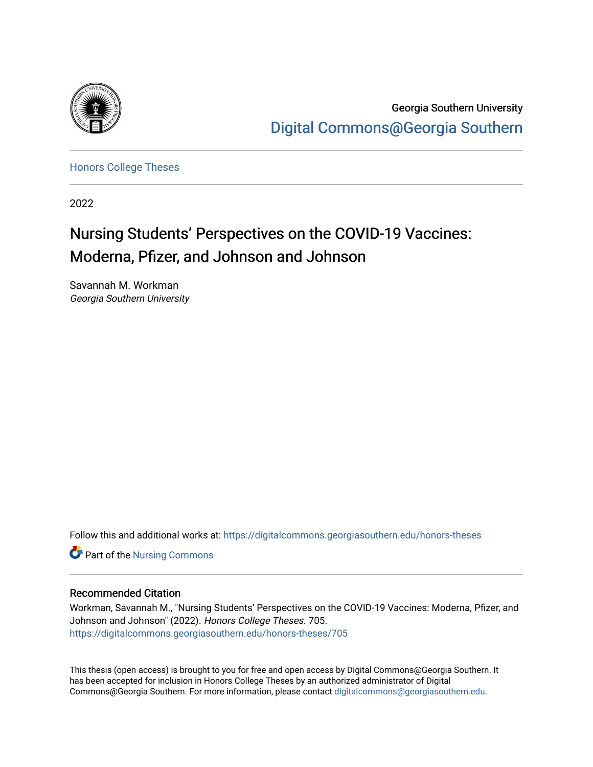

Georgia Southern University [Digital Commons@Georgia Southern](https://digitalcommons.georgiasouthern.edu/) 

[Honors College Theses](https://digitalcommons.georgiasouthern.edu/honors-theses) 

2022

# Nursing Students' Perspectives on the COVID-19 Vaccines: Moderna, Pfizer, and Johnson and Johnson

Savannah M. Workman Georgia Southern University

Follow this and additional works at: [https://digitalcommons.georgiasouthern.edu/honors-theses](https://digitalcommons.georgiasouthern.edu/honors-theses?utm_source=digitalcommons.georgiasouthern.edu%2Fhonors-theses%2F705&utm_medium=PDF&utm_campaign=PDFCoverPages)

Part of the [Nursing Commons](http://network.bepress.com/hgg/discipline/718?utm_source=digitalcommons.georgiasouthern.edu%2Fhonors-theses%2F705&utm_medium=PDF&utm_campaign=PDFCoverPages) 

#### Recommended Citation

Workman, Savannah M., "Nursing Students' Perspectives on the COVID-19 Vaccines: Moderna, Pfizer, and Johnson and Johnson" (2022). Honors College Theses. 705. [https://digitalcommons.georgiasouthern.edu/honors-theses/705](https://digitalcommons.georgiasouthern.edu/honors-theses/705?utm_source=digitalcommons.georgiasouthern.edu%2Fhonors-theses%2F705&utm_medium=PDF&utm_campaign=PDFCoverPages)

This thesis (open access) is brought to you for free and open access by Digital Commons@Georgia Southern. It has been accepted for inclusion in Honors College Theses by an authorized administrator of Digital Commons@Georgia Southern. For more information, please contact [digitalcommons@georgiasouthern.edu](mailto:digitalcommons@georgiasouthern.edu).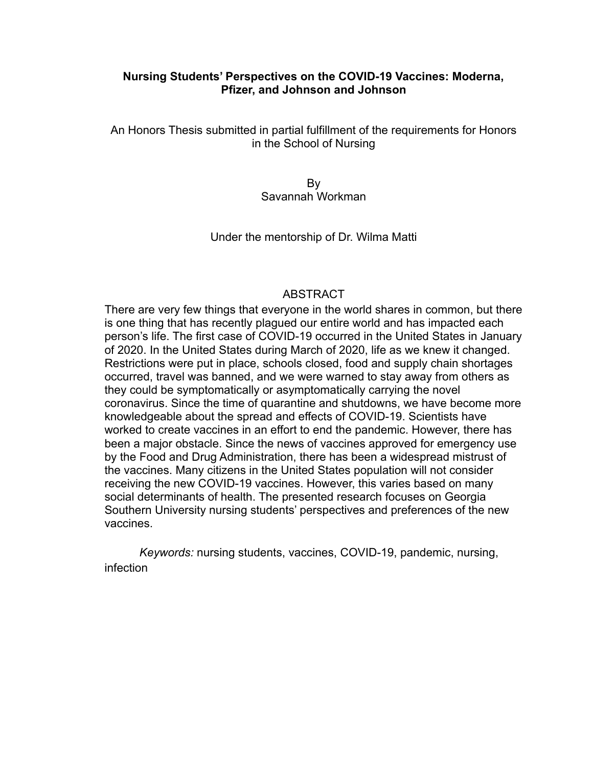## **Nursing Students' Perspectives on the COVID-19 Vaccines: Moderna, Pfizer, and Johnson and Johnson**

An Honors Thesis submitted in partial fulfillment of the requirements for Honors in the School of Nursing

> By Savannah Workman

Under the mentorship of Dr. Wilma Matti

## ABSTRACT

There are very few things that everyone in the world shares in common, but there is one thing that has recently plagued our entire world and has impacted each person's life. The first case of COVID-19 occurred in the United States in January of 2020. In the United States during March of 2020, life as we knew it changed. Restrictions were put in place, schools closed, food and supply chain shortages occurred, travel was banned, and we were warned to stay away from others as they could be symptomatically or asymptomatically carrying the novel coronavirus. Since the time of quarantine and shutdowns, we have become more knowledgeable about the spread and effects of COVID-19. Scientists have worked to create vaccines in an effort to end the pandemic. However, there has been a major obstacle. Since the news of vaccines approved for emergency use by the Food and Drug Administration, there has been a widespread mistrust of the vaccines. Many citizens in the United States population will not consider receiving the new COVID-19 vaccines. However, this varies based on many social determinants of health. The presented research focuses on Georgia Southern University nursing students' perspectives and preferences of the new vaccines.

*Keywords:* nursing students, vaccines, COVID-19, pandemic, nursing, infection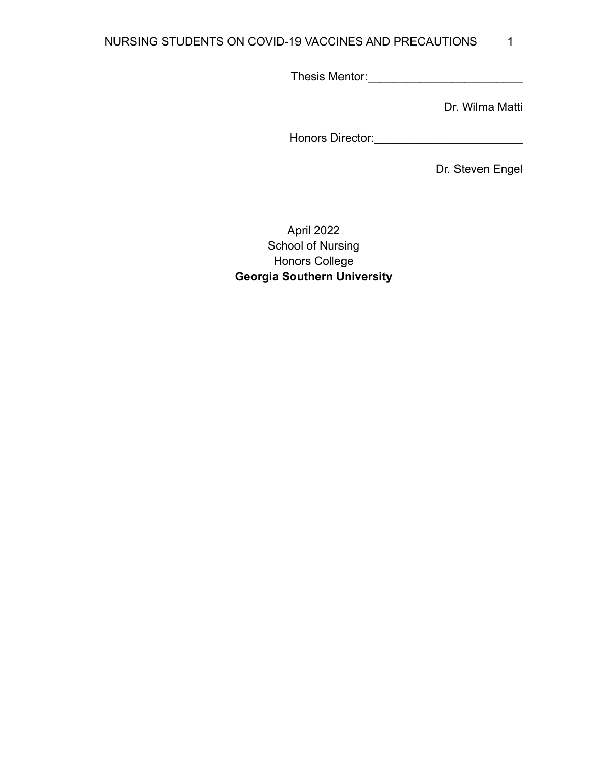## NURSING STUDENTS ON COVID-19 VACCINES AND PRECAUTIONS 1

Thesis Mentor:\_\_\_\_\_\_\_\_\_\_\_\_\_\_\_\_\_\_\_\_\_\_\_\_

Dr. Wilma Matti

Honors Director:\_\_\_\_\_\_\_\_\_\_\_\_\_\_\_\_\_\_\_\_\_\_\_

Dr. Steven Engel

April 2022 School of Nursing Honors College **Georgia Southern University**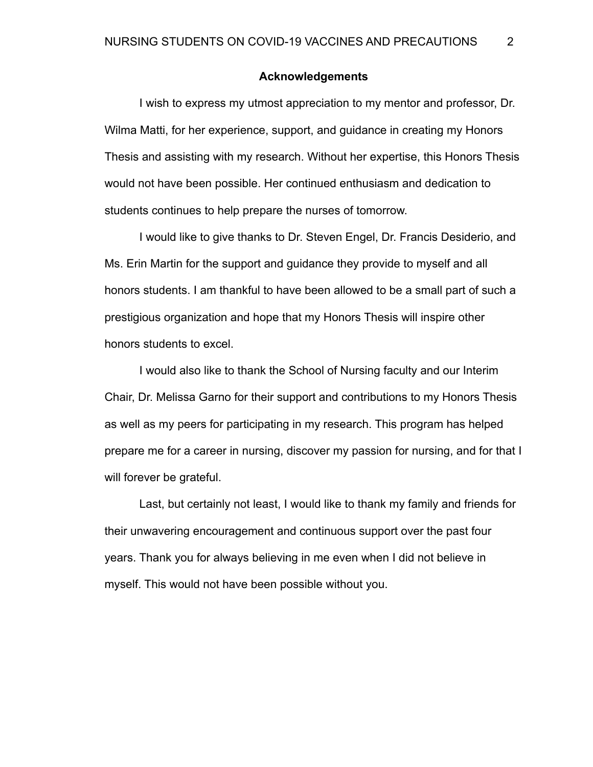## **Acknowledgements**

I wish to express my utmost appreciation to my mentor and professor, Dr. Wilma Matti, for her experience, support, and guidance in creating my Honors Thesis and assisting with my research. Without her expertise, this Honors Thesis would not have been possible. Her continued enthusiasm and dedication to students continues to help prepare the nurses of tomorrow.

I would like to give thanks to Dr. Steven Engel, Dr. Francis Desiderio, and Ms. Erin Martin for the support and guidance they provide to myself and all honors students. I am thankful to have been allowed to be a small part of such a prestigious organization and hope that my Honors Thesis will inspire other honors students to excel.

I would also like to thank the School of Nursing faculty and our Interim Chair, Dr. Melissa Garno for their support and contributions to my Honors Thesis as well as my peers for participating in my research. This program has helped prepare me for a career in nursing, discover my passion for nursing, and for that I will forever be grateful.

Last, but certainly not least, I would like to thank my family and friends for their unwavering encouragement and continuous support over the past four years. Thank you for always believing in me even when I did not believe in myself. This would not have been possible without you.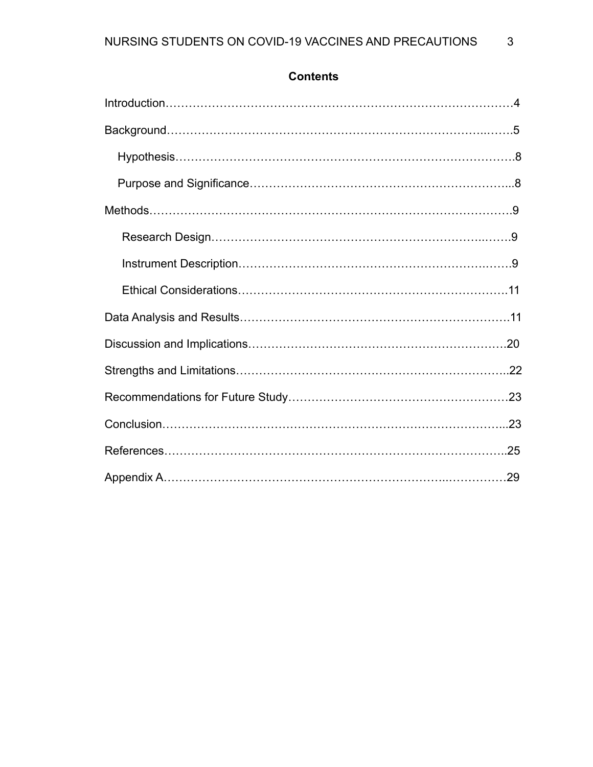# **Contents**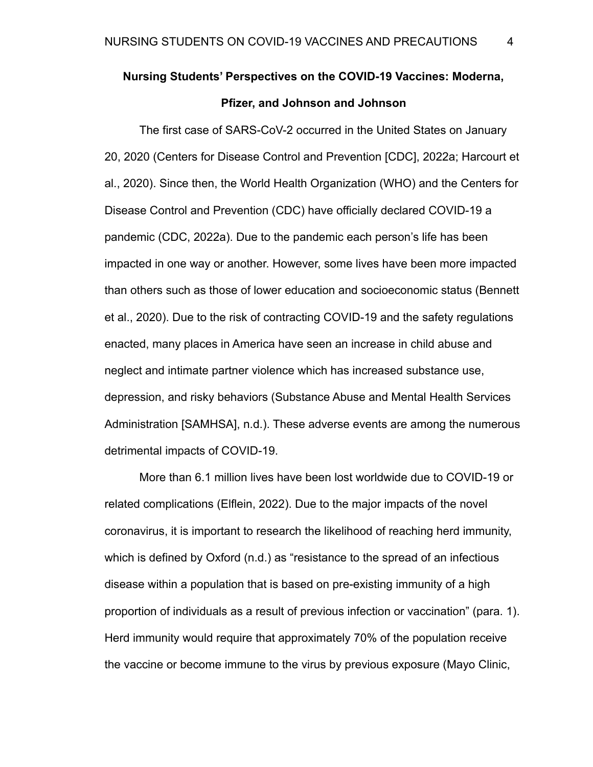# **Nursing Students' Perspectives on the COVID-19 Vaccines: Moderna, Pfizer, and Johnson and Johnson**

The first case of SARS-CoV-2 occurred in the United States on January 20, 2020 (Centers for Disease Control and Prevention [CDC], 2022a; Harcourt et al., 2020). Since then, the World Health Organization (WHO) and the Centers for Disease Control and Prevention (CDC) have officially declared COVID-19 a pandemic (CDC, 2022a). Due to the pandemic each person's life has been impacted in one way or another. However, some lives have been more impacted than others such as those of lower education and socioeconomic status (Bennett et al., 2020). Due to the risk of contracting COVID-19 and the safety regulations enacted, many places in America have seen an increase in child abuse and neglect and intimate partner violence which has increased substance use, depression, and risky behaviors (Substance Abuse and Mental Health Services Administration [SAMHSA], n.d.). These adverse events are among the numerous detrimental impacts of COVID-19.

More than 6.1 million lives have been lost worldwide due to COVID-19 or related complications (Elflein, 2022). Due to the major impacts of the novel coronavirus, it is important to research the likelihood of reaching herd immunity, which is defined by Oxford (n.d.) as "resistance to the spread of an infectious disease within a population that is based on pre-existing immunity of a high proportion of individuals as a result of previous infection or vaccination" (para. 1). Herd immunity would require that approximately 70% of the population receive the vaccine or become immune to the virus by previous exposure (Mayo Clinic,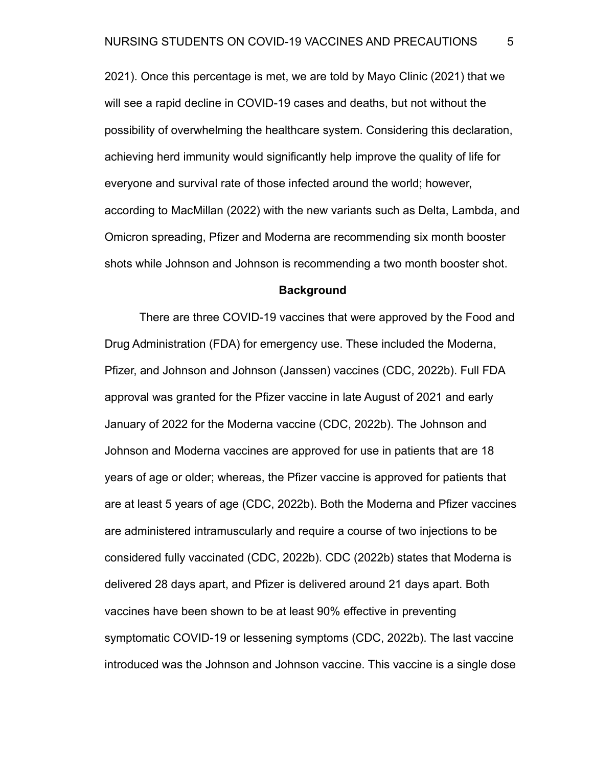2021). Once this percentage is met, we are told by Mayo Clinic (2021) that we will see a rapid decline in COVID-19 cases and deaths, but not without the possibility of overwhelming the healthcare system. Considering this declaration, achieving herd immunity would significantly help improve the quality of life for everyone and survival rate of those infected around the world; however, according to MacMillan (2022) with the new variants such as Delta, Lambda, and Omicron spreading, Pfizer and Moderna are recommending six month booster shots while Johnson and Johnson is recommending a two month booster shot.

#### **Background**

There are three COVID-19 vaccines that were approved by the Food and Drug Administration (FDA) for emergency use. These included the Moderna, Pfizer, and Johnson and Johnson (Janssen) vaccines (CDC, 2022b). Full FDA approval was granted for the Pfizer vaccine in late August of 2021 and early January of 2022 for the Moderna vaccine (CDC, 2022b). The Johnson and Johnson and Moderna vaccines are approved for use in patients that are 18 years of age or older; whereas, the Pfizer vaccine is approved for patients that are at least 5 years of age (CDC, 2022b). Both the Moderna and Pfizer vaccines are administered intramuscularly and require a course of two injections to be considered fully vaccinated (CDC, 2022b). CDC (2022b) states that Moderna is delivered 28 days apart, and Pfizer is delivered around 21 days apart. Both vaccines have been shown to be at least 90% effective in preventing symptomatic COVID-19 or lessening symptoms (CDC, 2022b). The last vaccine introduced was the Johnson and Johnson vaccine. This vaccine is a single dose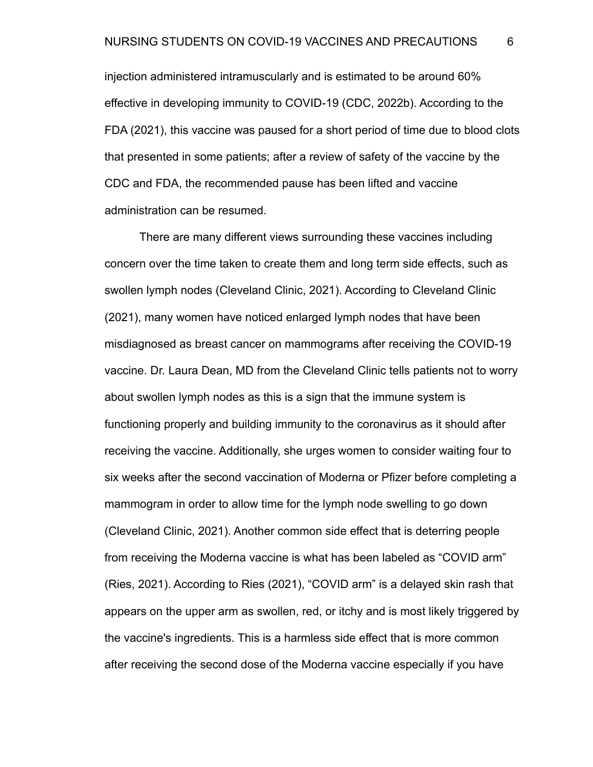injection administered intramuscularly and is estimated to be around 60% effective in developing immunity to COVID-19 (CDC, 2022b). According to the FDA (2021), this vaccine was paused for a short period of time due to blood clots that presented in some patients; after a review of safety of the vaccine by the CDC and FDA, the recommended pause has been lifted and vaccine administration can be resumed.

There are many different views surrounding these vaccines including concern over the time taken to create them and long term side effects, such as swollen lymph nodes (Cleveland Clinic, 2021). According to Cleveland Clinic (2021), many women have noticed enlarged lymph nodes that have been misdiagnosed as breast cancer on mammograms after receiving the COVID-19 vaccine. Dr. Laura Dean, MD from the Cleveland Clinic tells patients not to worry about swollen lymph nodes as this is a sign that the immune system is functioning properly and building immunity to the coronavirus as it should after receiving the vaccine. Additionally, she urges women to consider waiting four to six weeks after the second vaccination of Moderna or Pfizer before completing a mammogram in order to allow time for the lymph node swelling to go down (Cleveland Clinic, 2021). Another common side effect that is deterring people from receiving the Moderna vaccine is what has been labeled as "COVID arm" (Ries, 2021). According to Ries (2021), "COVID arm" is a delayed skin rash that appears on the upper arm as swollen, red, or itchy and is most likely triggered by the vaccine's ingredients. This is a harmless side effect that is more common after receiving the second dose of the Moderna vaccine especially if you have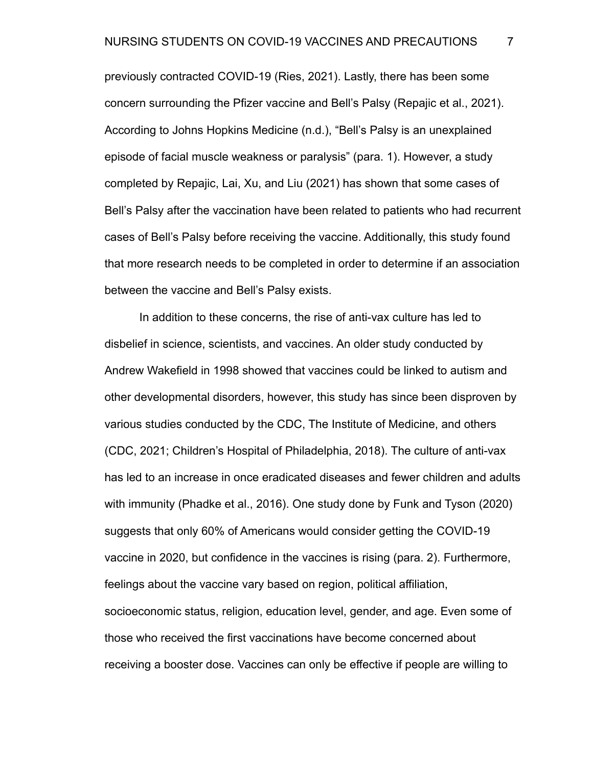previously contracted COVID-19 (Ries, 2021). Lastly, there has been some concern surrounding the Pfizer vaccine and Bell's Palsy (Repajic et al., 2021). According to Johns Hopkins Medicine (n.d.), "Bell's Palsy is an unexplained episode of facial muscle weakness or paralysis" (para. 1). However, a study completed by Repajic, Lai, Xu, and Liu (2021) has shown that some cases of Bell's Palsy after the vaccination have been related to patients who had recurrent cases of Bell's Palsy before receiving the vaccine. Additionally, this study found that more research needs to be completed in order to determine if an association between the vaccine and Bell's Palsy exists.

In addition to these concerns, the rise of anti-vax culture has led to disbelief in science, scientists, and vaccines. An older study conducted by Andrew Wakefield in 1998 showed that vaccines could be linked to autism and other developmental disorders, however, this study has since been disproven by various studies conducted by the CDC, The Institute of Medicine, and others (CDC, 2021; Children's Hospital of Philadelphia, 2018). The culture of anti-vax has led to an increase in once eradicated diseases and fewer children and adults with immunity (Phadke et al., 2016). One study done by Funk and Tyson (2020) suggests that only 60% of Americans would consider getting the COVID-19 vaccine in 2020, but confidence in the vaccines is rising (para. 2). Furthermore, feelings about the vaccine vary based on region, political affiliation, socioeconomic status, religion, education level, gender, and age. Even some of those who received the first vaccinations have become concerned about receiving a booster dose. Vaccines can only be effective if people are willing to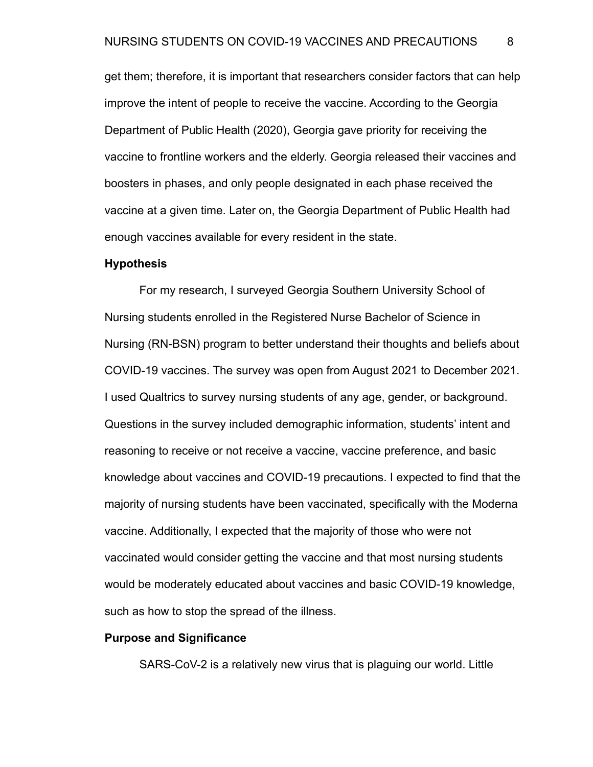get them; therefore, it is important that researchers consider factors that can help improve the intent of people to receive the vaccine. According to the Georgia Department of Public Health (2020), Georgia gave priority for receiving the vaccine to frontline workers and the elderly. Georgia released their vaccines and boosters in phases, and only people designated in each phase received the vaccine at a given time. Later on, the Georgia Department of Public Health had enough vaccines available for every resident in the state.

#### **Hypothesis**

For my research, I surveyed Georgia Southern University School of Nursing students enrolled in the Registered Nurse Bachelor of Science in Nursing (RN-BSN) program to better understand their thoughts and beliefs about COVID-19 vaccines. The survey was open from August 2021 to December 2021. I used Qualtrics to survey nursing students of any age, gender, or background. Questions in the survey included demographic information, students' intent and reasoning to receive or not receive a vaccine, vaccine preference, and basic knowledge about vaccines and COVID-19 precautions. I expected to find that the majority of nursing students have been vaccinated, specifically with the Moderna vaccine. Additionally, I expected that the majority of those who were not vaccinated would consider getting the vaccine and that most nursing students would be moderately educated about vaccines and basic COVID-19 knowledge, such as how to stop the spread of the illness.

## **Purpose and Significance**

SARS-CoV-2 is a relatively new virus that is plaguing our world. Little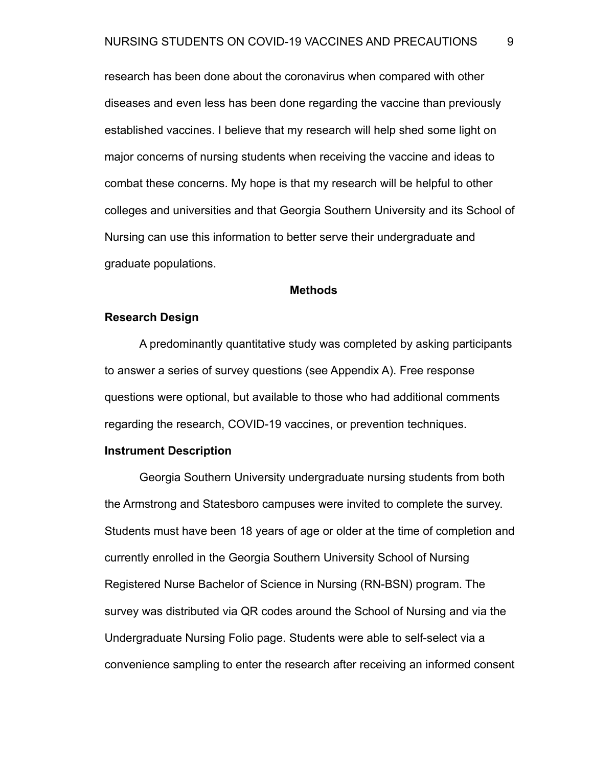research has been done about the coronavirus when compared with other diseases and even less has been done regarding the vaccine than previously established vaccines. I believe that my research will help shed some light on major concerns of nursing students when receiving the vaccine and ideas to combat these concerns. My hope is that my research will be helpful to other colleges and universities and that Georgia Southern University and its School of Nursing can use this information to better serve their undergraduate and graduate populations.

#### **Methods**

#### **Research Design**

A predominantly quantitative study was completed by asking participants to answer a series of survey questions (see Appendix A). Free response questions were optional, but available to those who had additional comments regarding the research, COVID-19 vaccines, or prevention techniques.

#### **Instrument Description**

Georgia Southern University undergraduate nursing students from both the Armstrong and Statesboro campuses were invited to complete the survey. Students must have been 18 years of age or older at the time of completion and currently enrolled in the Georgia Southern University School of Nursing Registered Nurse Bachelor of Science in Nursing (RN-BSN) program. The survey was distributed via QR codes around the School of Nursing and via the Undergraduate Nursing Folio page. Students were able to self-select via a convenience sampling to enter the research after receiving an informed consent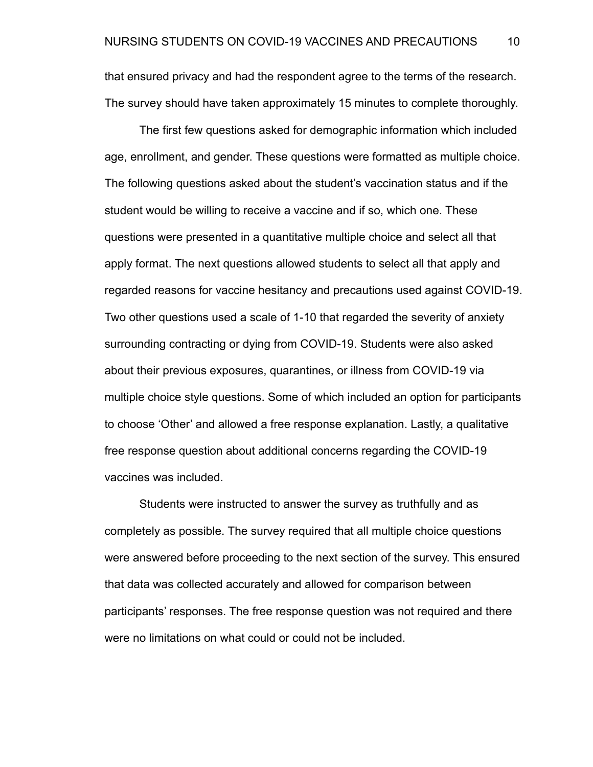that ensured privacy and had the respondent agree to the terms of the research. The survey should have taken approximately 15 minutes to complete thoroughly.

The first few questions asked for demographic information which included age, enrollment, and gender. These questions were formatted as multiple choice. The following questions asked about the student's vaccination status and if the student would be willing to receive a vaccine and if so, which one. These questions were presented in a quantitative multiple choice and select all that apply format. The next questions allowed students to select all that apply and regarded reasons for vaccine hesitancy and precautions used against COVID-19. Two other questions used a scale of 1-10 that regarded the severity of anxiety surrounding contracting or dying from COVID-19. Students were also asked about their previous exposures, quarantines, or illness from COVID-19 via multiple choice style questions. Some of which included an option for participants to choose 'Other' and allowed a free response explanation. Lastly, a qualitative free response question about additional concerns regarding the COVID-19 vaccines was included.

Students were instructed to answer the survey as truthfully and as completely as possible. The survey required that all multiple choice questions were answered before proceeding to the next section of the survey. This ensured that data was collected accurately and allowed for comparison between participants' responses. The free response question was not required and there were no limitations on what could or could not be included.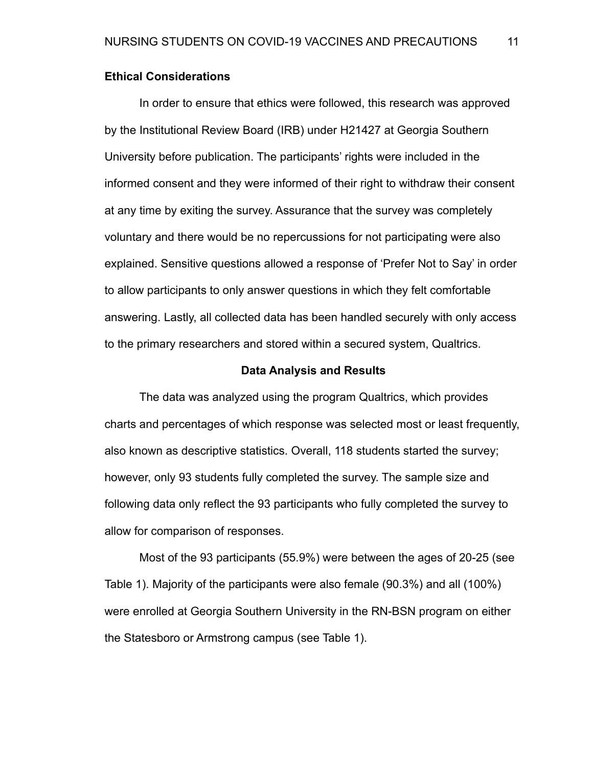## **Ethical Considerations**

In order to ensure that ethics were followed, this research was approved by the Institutional Review Board (IRB) under H21427 at Georgia Southern University before publication. The participants' rights were included in the informed consent and they were informed of their right to withdraw their consent at any time by exiting the survey. Assurance that the survey was completely voluntary and there would be no repercussions for not participating were also explained. Sensitive questions allowed a response of 'Prefer Not to Say' in order to allow participants to only answer questions in which they felt comfortable answering. Lastly, all collected data has been handled securely with only access to the primary researchers and stored within a secured system, Qualtrics.

#### **Data Analysis and Results**

The data was analyzed using the program Qualtrics, which provides charts and percentages of which response was selected most or least frequently, also known as descriptive statistics. Overall, 118 students started the survey; however, only 93 students fully completed the survey. The sample size and following data only reflect the 93 participants who fully completed the survey to allow for comparison of responses.

Most of the 93 participants (55.9%) were between the ages of 20-25 (see Table 1). Majority of the participants were also female (90.3%) and all (100%) were enrolled at Georgia Southern University in the RN-BSN program on either the Statesboro or Armstrong campus (see Table 1).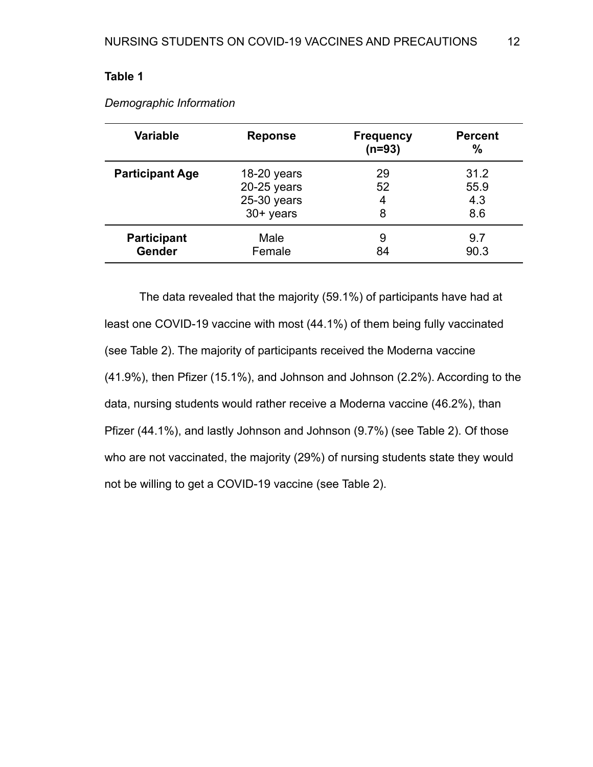| <b>Variable</b>        | <b>Reponse</b> | <b>Frequency</b><br>$(n=93)$ | <b>Percent</b><br>$\frac{0}{0}$ |
|------------------------|----------------|------------------------------|---------------------------------|
| <b>Participant Age</b> | $18-20$ years  | 29                           | 31.2                            |
|                        | $20-25$ years  | 52                           | 55.9                            |
|                        | $25-30$ years  | 4                            | 4.3                             |
|                        | 30+ years      | 8                            | 8.6                             |
| <b>Participant</b>     | Male           | 9                            | 9.7                             |
| <b>Gender</b>          | Female         | 84                           | 90.3                            |

*Demographic Information*

The data revealed that the majority (59.1%) of participants have had at least one COVID-19 vaccine with most (44.1%) of them being fully vaccinated (see Table 2). The majority of participants received the Moderna vaccine (41.9%), then Pfizer (15.1%), and Johnson and Johnson (2.2%). According to the data, nursing students would rather receive a Moderna vaccine (46.2%), than Pfizer (44.1%), and lastly Johnson and Johnson (9.7%) (see Table 2). Of those who are not vaccinated, the majority (29%) of nursing students state they would not be willing to get a COVID-19 vaccine (see Table 2).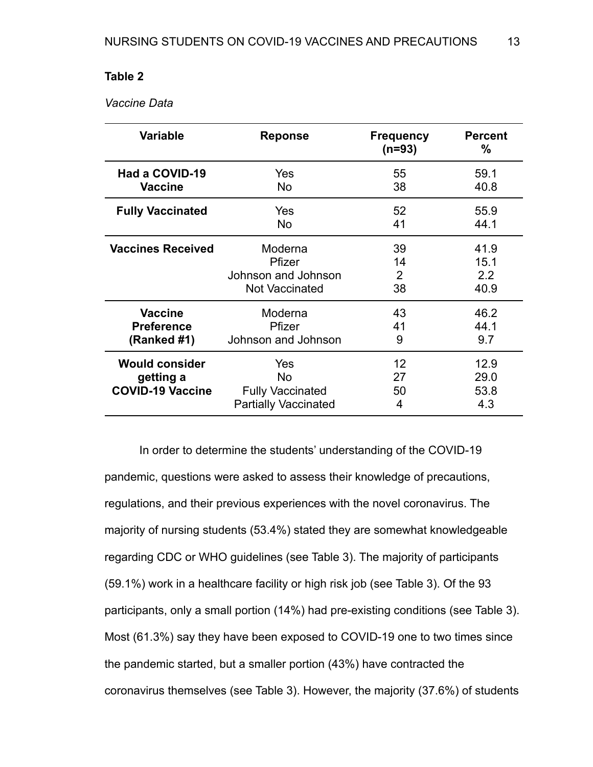*Vaccine Data*

| <b>Variable</b>                                               | <b>Reponse</b>                                                             | <b>Frequency</b><br>$(n=93)$ | <b>Percent</b><br>%         |
|---------------------------------------------------------------|----------------------------------------------------------------------------|------------------------------|-----------------------------|
| Had a COVID-19                                                | Yes                                                                        | 55                           | 59.1                        |
| <b>Vaccine</b>                                                | <b>No</b>                                                                  | 38                           | 40.8                        |
| <b>Fully Vaccinated</b>                                       | <b>Yes</b>                                                                 | 52                           | 55.9                        |
|                                                               | No.                                                                        | 41                           | 44.1                        |
| <b>Vaccines Received</b>                                      | Moderna                                                                    | 39                           | 41.9                        |
|                                                               | Pfizer                                                                     | 14                           | 15.1                        |
|                                                               | Johnson and Johnson                                                        | 2                            | 2.2                         |
|                                                               | <b>Not Vaccinated</b>                                                      | 38                           | 40.9                        |
| <b>Vaccine</b>                                                | Moderna                                                                    | 43                           | 46.2                        |
| <b>Preference</b>                                             | Pfizer                                                                     | 41                           | 44.1                        |
| (Ranked #1)                                                   | Johnson and Johnson                                                        | 9                            | 9.7                         |
| <b>Would consider</b><br>getting a<br><b>COVID-19 Vaccine</b> | Yes<br><b>No</b><br><b>Fully Vaccinated</b><br><b>Partially Vaccinated</b> | 12<br>27<br>50<br>4          | 12.9<br>29.0<br>53.8<br>4.3 |

In order to determine the students' understanding of the COVID-19 pandemic, questions were asked to assess their knowledge of precautions, regulations, and their previous experiences with the novel coronavirus. The majority of nursing students (53.4%) stated they are somewhat knowledgeable regarding CDC or WHO guidelines (see Table 3). The majority of participants (59.1%) work in a healthcare facility or high risk job (see Table 3). Of the 93 participants, only a small portion (14%) had pre-existing conditions (see Table 3). Most (61.3%) say they have been exposed to COVID-19 one to two times since the pandemic started, but a smaller portion (43%) have contracted the coronavirus themselves (see Table 3). However, the majority (37.6%) of students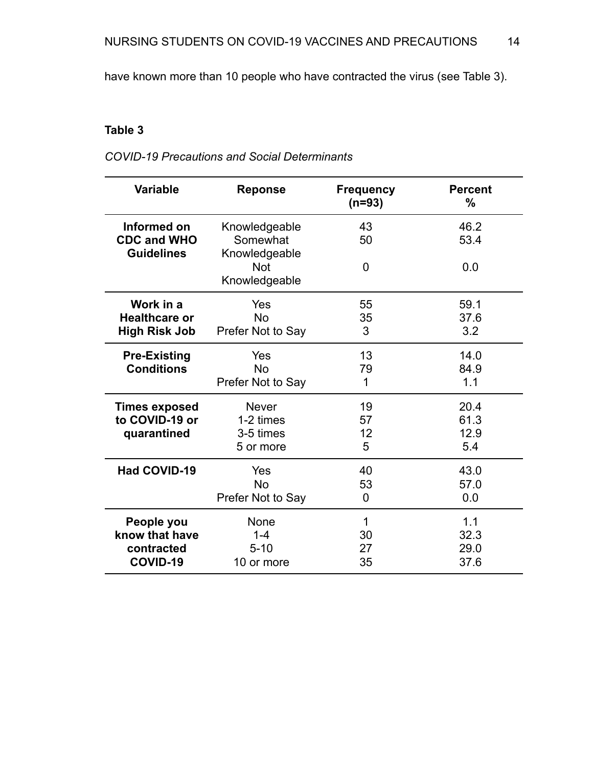have known more than 10 people who have contracted the virus (see Table 3).

# **Table 3**

*COVID-19 Precautions and Social Determinants*

| <b>Variable</b>                                        | <b>Reponse</b>                             | <b>Frequency</b><br>$(n=93)$ | <b>Percent</b><br>% |
|--------------------------------------------------------|--------------------------------------------|------------------------------|---------------------|
| Informed on<br><b>CDC and WHO</b><br><b>Guidelines</b> | Knowledgeable<br>Somewhat<br>Knowledgeable | 43<br>50                     | 46.2<br>53.4        |
|                                                        | <b>Not</b><br>Knowledgeable                | $\overline{0}$               | 0.0                 |
| Work in a                                              | Yes                                        | 55                           | 59.1                |
| <b>Healthcare or</b><br><b>High Risk Job</b>           | <b>No</b><br>Prefer Not to Say             | 35<br>3                      | 37.6<br>3.2         |
| <b>Pre-Existing</b>                                    | Yes                                        | 13                           | 14.0                |
| <b>Conditions</b>                                      | <b>No</b>                                  | 79                           | 84.9                |
|                                                        | Prefer Not to Say                          | 1                            | 1.1                 |
| <b>Times exposed</b>                                   | <b>Never</b>                               | 19                           | 20.4                |
| to COVID-19 or                                         | 1-2 times                                  | 57                           | 61.3                |
| quarantined                                            | 3-5 times                                  | 12                           | 12.9                |
|                                                        | 5 or more                                  | 5                            | 5.4                 |
| <b>Had COVID-19</b>                                    | Yes                                        | 40                           | 43.0                |
|                                                        | <b>No</b>                                  | 53                           | 57.0                |
|                                                        | Prefer Not to Say                          | 0                            | 0.0                 |
| People you                                             | None                                       | 1                            | 1.1                 |
| know that have                                         | $1 - 4$                                    | 30                           | 32.3                |
| contracted                                             | $5 - 10$                                   | 27                           | 29.0                |
| COVID-19                                               | 10 or more                                 | 35                           | 37.6                |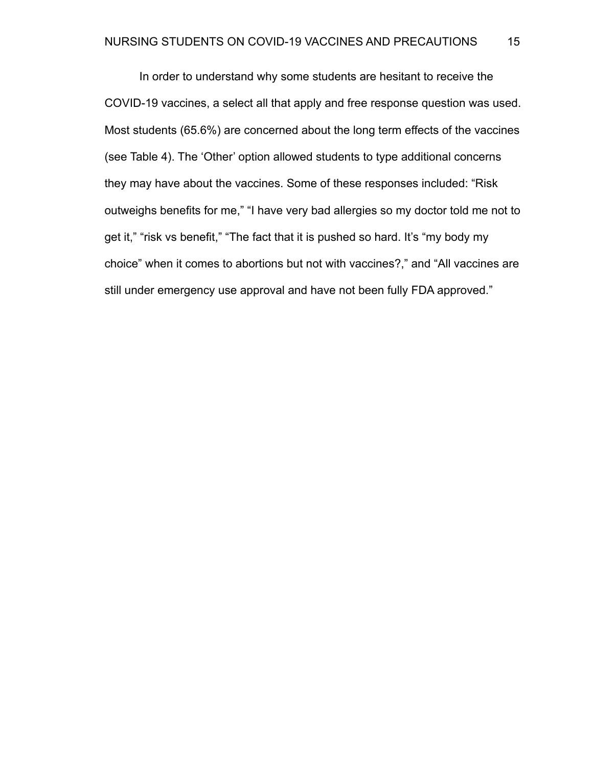In order to understand why some students are hesitant to receive the COVID-19 vaccines, a select all that apply and free response question was used. Most students (65.6%) are concerned about the long term effects of the vaccines (see Table 4). The 'Other' option allowed students to type additional concerns they may have about the vaccines. Some of these responses included: "Risk outweighs benefits for me," "I have very bad allergies so my doctor told me not to get it," "risk vs benefit," "The fact that it is pushed so hard. It's "my body my choice" when it comes to abortions but not with vaccines?," and "All vaccines are still under emergency use approval and have not been fully FDA approved."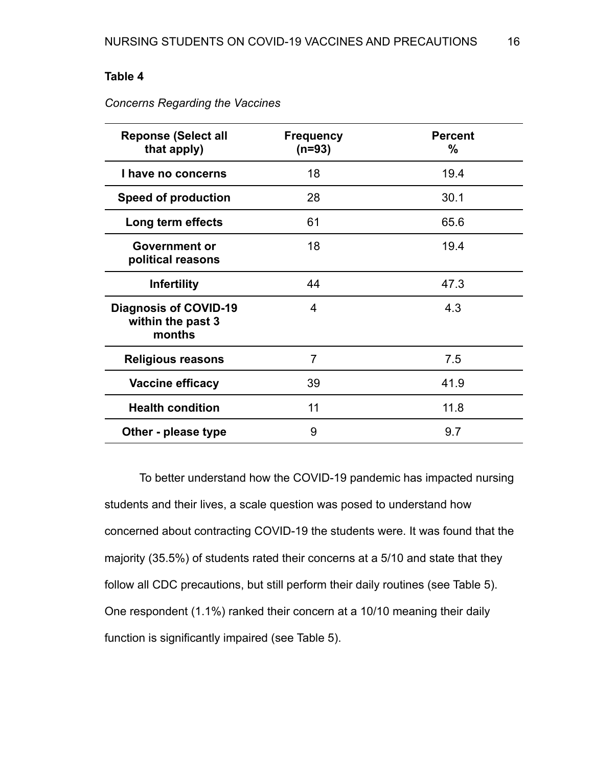| <b>Reponse (Select all</b><br>that apply)                   | <b>Frequency</b><br>$(n=93)$ | <b>Percent</b><br>% |
|-------------------------------------------------------------|------------------------------|---------------------|
| I have no concerns                                          | 18                           | 19.4                |
| <b>Speed of production</b>                                  | 28                           | 30.1                |
| Long term effects                                           | 61                           | 65.6                |
| <b>Government or</b><br>political reasons                   | 18                           | 19.4                |
| <b>Infertility</b>                                          | 44                           | 47.3                |
| <b>Diagnosis of COVID-19</b><br>within the past 3<br>months | 4                            | 4.3                 |
| <b>Religious reasons</b>                                    | $\overline{7}$               | 7.5                 |
| Vaccine efficacy                                            | 39                           | 41.9                |
| <b>Health condition</b>                                     | 11                           | 11.8                |
| Other - please type                                         | 9                            | 9.7                 |

*Concerns Regarding the Vaccines*

To better understand how the COVID-19 pandemic has impacted nursing students and their lives, a scale question was posed to understand how concerned about contracting COVID-19 the students were. It was found that the majority (35.5%) of students rated their concerns at a 5/10 and state that they follow all CDC precautions, but still perform their daily routines (see Table 5). One respondent (1.1%) ranked their concern at a 10/10 meaning their daily function is significantly impaired (see Table 5).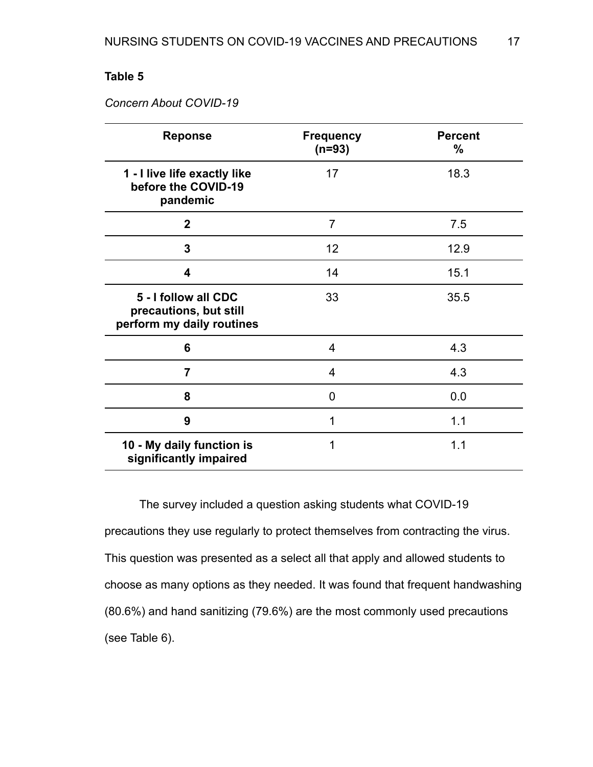## *Concern About COVID-19*

| <b>Reponse</b>                                                              | <b>Frequency</b><br>$(n=93)$ | <b>Percent</b><br>$\%$ |
|-----------------------------------------------------------------------------|------------------------------|------------------------|
| 1 - I live life exactly like<br>before the COVID-19<br>pandemic             | 17                           | 18.3                   |
| $\mathbf{2}$                                                                | $\overline{7}$               | 7.5                    |
| 3                                                                           | 12                           | 12.9                   |
| 4                                                                           | 14                           | 15.1                   |
| 5 - I follow all CDC<br>precautions, but still<br>perform my daily routines | 33                           | 35.5                   |
| 6                                                                           | 4                            | 4.3                    |
| $\overline{7}$                                                              | 4                            | 4.3                    |
| 8                                                                           | 0                            | 0.0                    |
| 9                                                                           | 1                            | 1.1                    |
| 10 - My daily function is<br>significantly impaired                         | 1                            | 1.1                    |

The survey included a question asking students what COVID-19 precautions they use regularly to protect themselves from contracting the virus. This question was presented as a select all that apply and allowed students to choose as many options as they needed. It was found that frequent handwashing (80.6%) and hand sanitizing (79.6%) are the most commonly used precautions (see Table 6).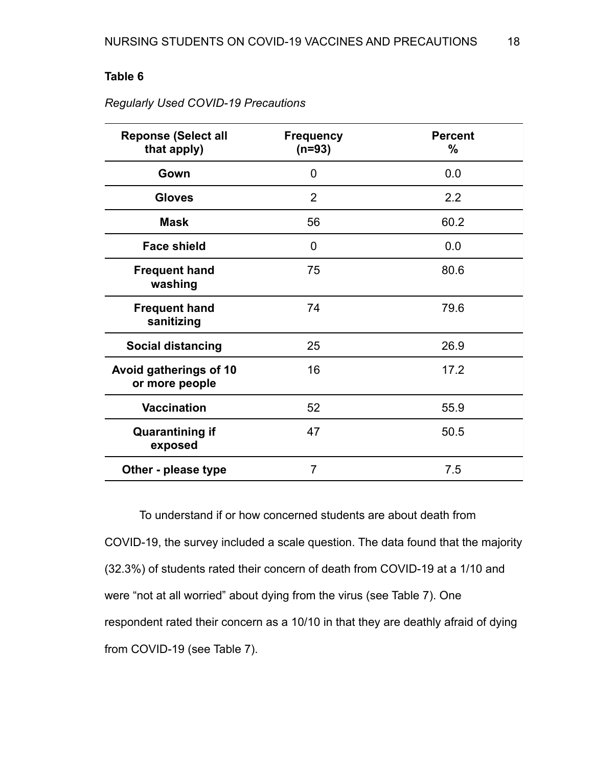| <b>Reponse (Select all</b><br>that apply) | <b>Frequency</b><br>$(n=93)$ | <b>Percent</b><br>$\%$ |
|-------------------------------------------|------------------------------|------------------------|
| Gown                                      | 0                            | 0.0                    |
| <b>Gloves</b>                             | 2                            | 2.2                    |
| <b>Mask</b>                               | 56                           | 60.2                   |
| <b>Face shield</b>                        | 0                            | 0.0                    |
| <b>Frequent hand</b><br>washing           | 75                           | 80.6                   |
| <b>Frequent hand</b><br>sanitizing        | 74                           | 79.6                   |
| <b>Social distancing</b>                  | 25                           | 26.9                   |
| Avoid gatherings of 10<br>or more people  | 16                           | 17.2                   |
| <b>Vaccination</b>                        | 52                           | 55.9                   |
| <b>Quarantining if</b><br>exposed         | 47                           | 50.5                   |
| Other - please type                       | $\overline{7}$               | 7.5                    |

*Regularly Used COVID-19 Precautions*

To understand if or how concerned students are about death from COVID-19, the survey included a scale question. The data found that the majority (32.3%) of students rated their concern of death from COVID-19 at a 1/10 and were "not at all worried" about dying from the virus (see Table 7). One respondent rated their concern as a 10/10 in that they are deathly afraid of dying from COVID-19 (see Table 7).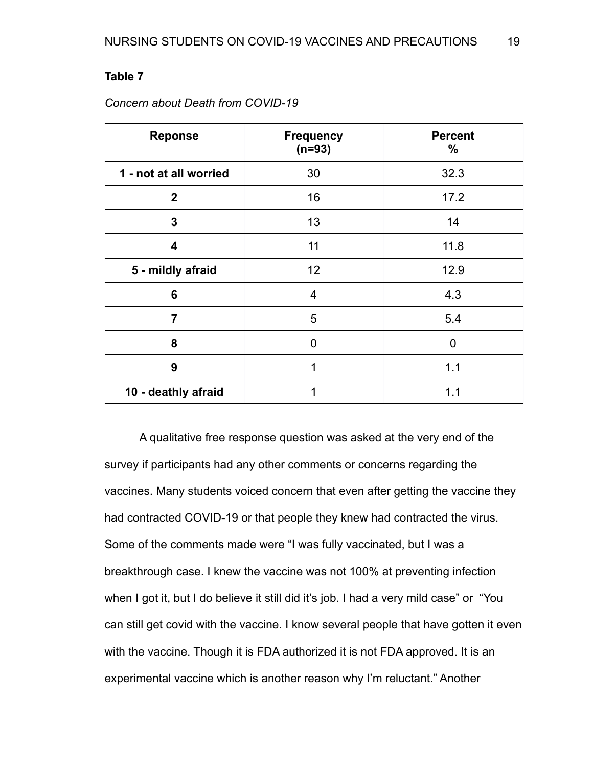| <b>Reponse</b>         | <b>Frequency</b><br>$(n=93)$ | <b>Percent</b><br>$\%$ |
|------------------------|------------------------------|------------------------|
| 1 - not at all worried | 30                           | 32.3                   |
| $\mathbf{2}$           | 16                           | 17.2                   |
| 3                      | 13                           | 14                     |
| 4                      | 11                           | 11.8                   |
| 5 - mildly afraid      | 12                           | 12.9                   |
| 6                      | $\overline{4}$               | 4.3                    |
| 7                      | 5                            | 5.4                    |
| 8                      | 0                            | 0                      |
| 9                      | 1                            | 1.1                    |
| 10 - deathly afraid    | 1                            | 1.1                    |

*Concern about Death from COVID-19*

A qualitative free response question was asked at the very end of the survey if participants had any other comments or concerns regarding the vaccines. Many students voiced concern that even after getting the vaccine they had contracted COVID-19 or that people they knew had contracted the virus. Some of the comments made were "I was fully vaccinated, but I was a breakthrough case. I knew the vaccine was not 100% at preventing infection when I got it, but I do believe it still did it's job. I had a very mild case" or "You can still get covid with the vaccine. I know several people that have gotten it even with the vaccine. Though it is FDA authorized it is not FDA approved. It is an experimental vaccine which is another reason why I'm reluctant." Another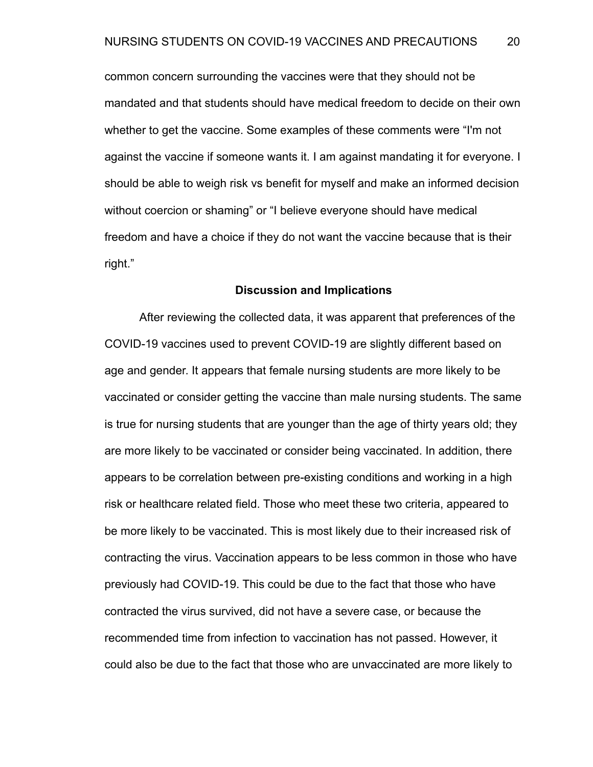common concern surrounding the vaccines were that they should not be mandated and that students should have medical freedom to decide on their own whether to get the vaccine. Some examples of these comments were "I'm not against the vaccine if someone wants it. I am against mandating it for everyone. I should be able to weigh risk vs benefit for myself and make an informed decision without coercion or shaming" or "I believe everyone should have medical freedom and have a choice if they do not want the vaccine because that is their right."

#### **Discussion and Implications**

After reviewing the collected data, it was apparent that preferences of the COVID-19 vaccines used to prevent COVID-19 are slightly different based on age and gender. It appears that female nursing students are more likely to be vaccinated or consider getting the vaccine than male nursing students. The same is true for nursing students that are younger than the age of thirty years old; they are more likely to be vaccinated or consider being vaccinated. In addition, there appears to be correlation between pre-existing conditions and working in a high risk or healthcare related field. Those who meet these two criteria, appeared to be more likely to be vaccinated. This is most likely due to their increased risk of contracting the virus. Vaccination appears to be less common in those who have previously had COVID-19. This could be due to the fact that those who have contracted the virus survived, did not have a severe case, or because the recommended time from infection to vaccination has not passed. However, it could also be due to the fact that those who are unvaccinated are more likely to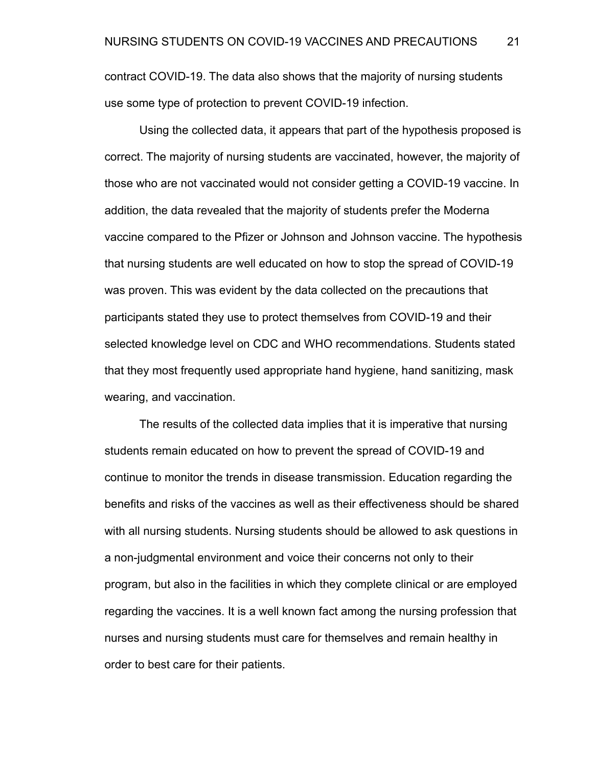contract COVID-19. The data also shows that the majority of nursing students use some type of protection to prevent COVID-19 infection.

Using the collected data, it appears that part of the hypothesis proposed is correct. The majority of nursing students are vaccinated, however, the majority of those who are not vaccinated would not consider getting a COVID-19 vaccine. In addition, the data revealed that the majority of students prefer the Moderna vaccine compared to the Pfizer or Johnson and Johnson vaccine. The hypothesis that nursing students are well educated on how to stop the spread of COVID-19 was proven. This was evident by the data collected on the precautions that participants stated they use to protect themselves from COVID-19 and their selected knowledge level on CDC and WHO recommendations. Students stated that they most frequently used appropriate hand hygiene, hand sanitizing, mask wearing, and vaccination.

The results of the collected data implies that it is imperative that nursing students remain educated on how to prevent the spread of COVID-19 and continue to monitor the trends in disease transmission. Education regarding the benefits and risks of the vaccines as well as their effectiveness should be shared with all nursing students. Nursing students should be allowed to ask questions in a non-judgmental environment and voice their concerns not only to their program, but also in the facilities in which they complete clinical or are employed regarding the vaccines. It is a well known fact among the nursing profession that nurses and nursing students must care for themselves and remain healthy in order to best care for their patients.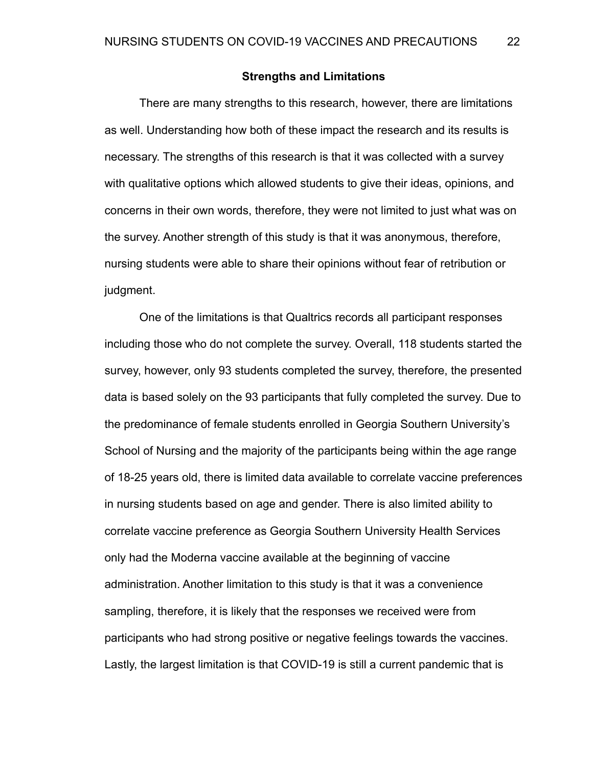### **Strengths and Limitations**

There are many strengths to this research, however, there are limitations as well. Understanding how both of these impact the research and its results is necessary. The strengths of this research is that it was collected with a survey with qualitative options which allowed students to give their ideas, opinions, and concerns in their own words, therefore, they were not limited to just what was on the survey. Another strength of this study is that it was anonymous, therefore, nursing students were able to share their opinions without fear of retribution or judgment.

One of the limitations is that Qualtrics records all participant responses including those who do not complete the survey. Overall, 118 students started the survey, however, only 93 students completed the survey, therefore, the presented data is based solely on the 93 participants that fully completed the survey. Due to the predominance of female students enrolled in Georgia Southern University's School of Nursing and the majority of the participants being within the age range of 18-25 years old, there is limited data available to correlate vaccine preferences in nursing students based on age and gender. There is also limited ability to correlate vaccine preference as Georgia Southern University Health Services only had the Moderna vaccine available at the beginning of vaccine administration. Another limitation to this study is that it was a convenience sampling, therefore, it is likely that the responses we received were from participants who had strong positive or negative feelings towards the vaccines. Lastly, the largest limitation is that COVID-19 is still a current pandemic that is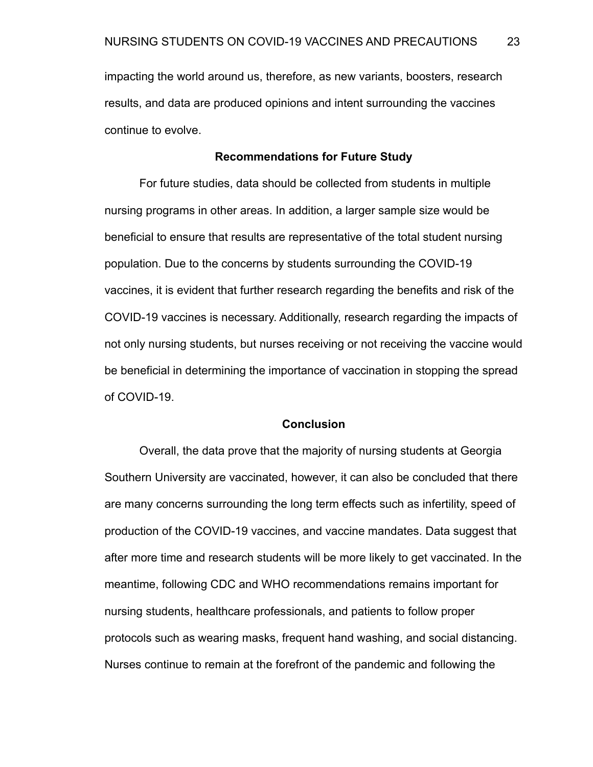impacting the world around us, therefore, as new variants, boosters, research results, and data are produced opinions and intent surrounding the vaccines continue to evolve.

#### **Recommendations for Future Study**

For future studies, data should be collected from students in multiple nursing programs in other areas. In addition, a larger sample size would be beneficial to ensure that results are representative of the total student nursing population. Due to the concerns by students surrounding the COVID-19 vaccines, it is evident that further research regarding the benefits and risk of the COVID-19 vaccines is necessary. Additionally, research regarding the impacts of not only nursing students, but nurses receiving or not receiving the vaccine would be beneficial in determining the importance of vaccination in stopping the spread of COVID-19.

#### **Conclusion**

Overall, the data prove that the majority of nursing students at Georgia Southern University are vaccinated, however, it can also be concluded that there are many concerns surrounding the long term effects such as infertility, speed of production of the COVID-19 vaccines, and vaccine mandates. Data suggest that after more time and research students will be more likely to get vaccinated. In the meantime, following CDC and WHO recommendations remains important for nursing students, healthcare professionals, and patients to follow proper protocols such as wearing masks, frequent hand washing, and social distancing. Nurses continue to remain at the forefront of the pandemic and following the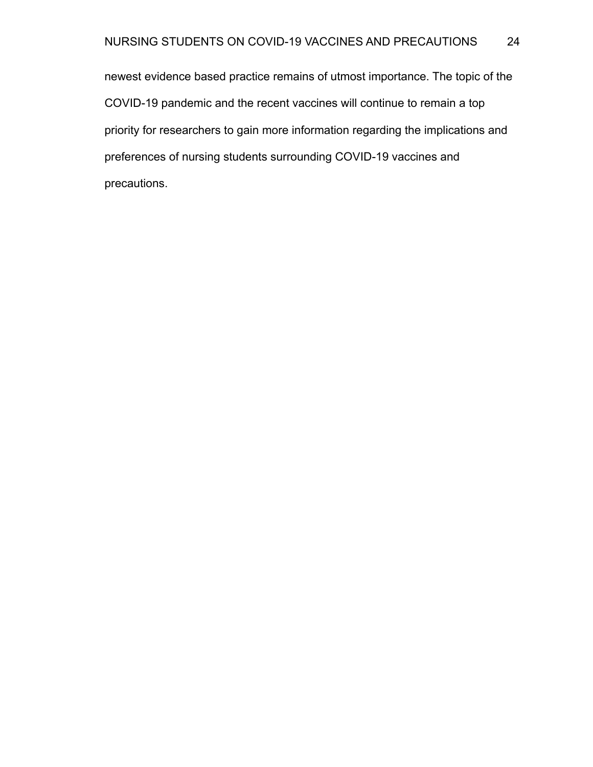newest evidence based practice remains of utmost importance. The topic of the COVID-19 pandemic and the recent vaccines will continue to remain a top priority for researchers to gain more information regarding the implications and preferences of nursing students surrounding COVID-19 vaccines and precautions.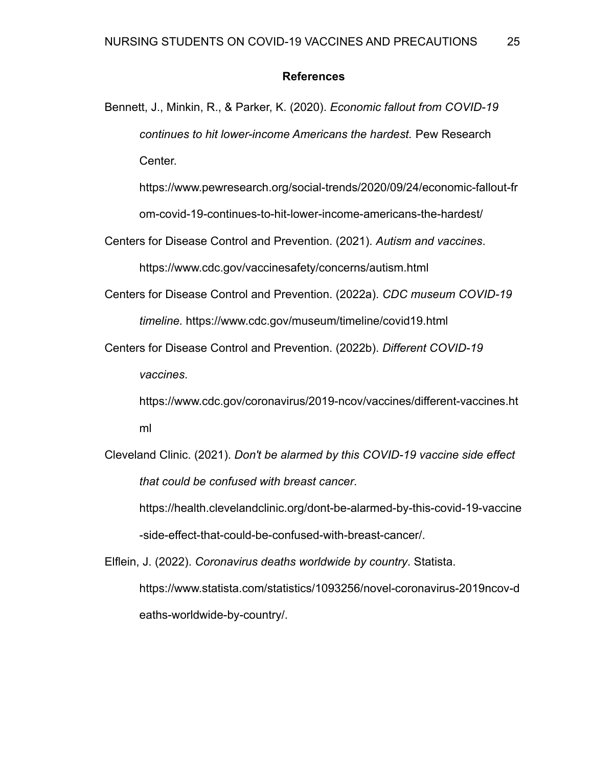## **References**

Bennett, J., Minkin, R., & Parker, K. (2020). *Economic fallout from COVID-19 continues to hit lower-income Americans the hardest.* Pew Research Center.

https://www.pewresearch.org/social-trends/2020/09/24/economic-fallout-fr

om-covid-19-continues-to-hit-lower-income-americans-the-hardest/

Centers for Disease Control and Prevention. (2021). *Autism and vaccines*.

https://www.cdc.gov/vaccinesafety/concerns/autism.html

Centers for Disease Control and Prevention. (2022a). *CDC museum COVID-19 timeline.* https://www.cdc.gov/museum/timeline/covid19.html

Centers for Disease Control and Prevention. (2022b). *Different COVID-19 vaccines*.

https://www.cdc.gov/coronavirus/2019-ncov/vaccines/different-vaccines.ht ml

Cleveland Clinic. (2021). *Don't be alarmed by this COVID-19 vaccine side effect that could be confused with breast cancer*.

https://health.clevelandclinic.org/dont-be-alarmed-by-this-covid-19-vaccine -side-effect-that-could-be-confused-with-breast-cancer/.

Elflein, J. (2022). *Coronavirus deaths worldwide by country*. Statista. https://www.statista.com/statistics/1093256/novel-coronavirus-2019ncov-d eaths-worldwide-by-country/.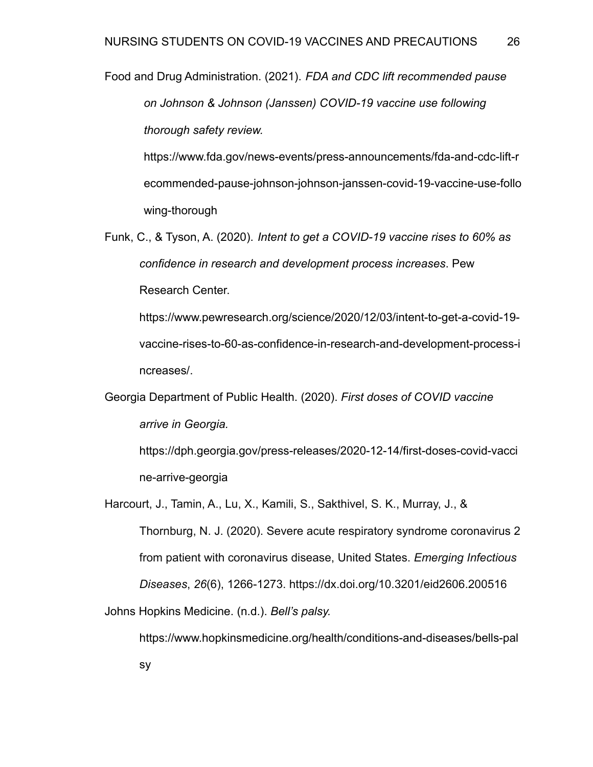Food and Drug Administration. (2021). *FDA and CDC lift recommended pause on Johnson & Johnson (Janssen) COVID-19 vaccine use following thorough safety review.*

https://www.fda.gov/news-events/press-announcements/fda-and-cdc-lift-r ecommended-pause-johnson-johnson-janssen-covid-19-vaccine-use-follo wing-thorough

Funk, C., & Tyson, A. (2020). *Intent to get a COVID-19 vaccine rises to 60% as confidence in research and development process increases*. Pew Research Center.

https://www.pewresearch.org/science/2020/12/03/intent-to-get-a-covid-19 vaccine-rises-to-60-as-confidence-in-research-and-development-process-i ncreases/.

Georgia Department of Public Health. (2020). *First doses of COVID vaccine arrive in Georgia.*

https://dph.georgia.gov/press-releases/2020-12-14/first-doses-covid-vacci ne-arrive-georgia

Harcourt, J., Tamin, A., Lu, X., Kamili, S., Sakthivel, S. K., Murray, J., & Thornburg, N. J. (2020). Severe acute respiratory syndrome coronavirus 2 from patient with coronavirus disease, United States. *Emerging Infectious Diseases*, *26*(6), 1266-1273. https://dx.doi.org/10.3201/eid2606.200516 Johns Hopkins Medicine. (n.d.). *Bell's palsy.*

https://www.hopkinsmedicine.org/health/conditions-and-diseases/bells-pal sy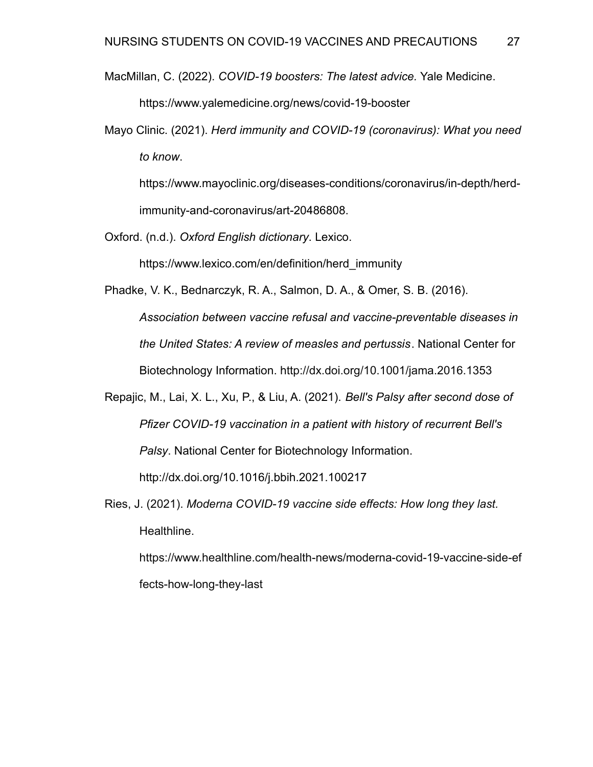MacMillan, C. (2022). *COVID-19 boosters: The latest advice.* Yale Medicine.

https://www.yalemedicine.org/news/covid-19-booster

Mayo Clinic. (2021). *Herd immunity and COVID-19 (coronavirus): What you need to know*.

https://www.mayoclinic.org/diseases-conditions/coronavirus/in-depth/herdimmunity-and-coronavirus/art-20486808.

Oxford. (n.d.). *Oxford English dictionary*. Lexico.

https://www.lexico.com/en/definition/herd\_immunity

Phadke, V. K., Bednarczyk, R. A., Salmon, D. A., & Omer, S. B. (2016). *Association between vaccine refusal and vaccine-preventable diseases in the United States: A review of measles and pertussis*. National Center for Biotechnology Information. http://dx.doi.org/10.1001/jama.2016.1353

Repajic, M., Lai, X. L., Xu, P., & Liu, A. (2021). *Bell's Palsy after second dose of Pfizer COVID-19 vaccination in a patient with history of recurrent Bell's Palsy*. National Center for Biotechnology Information. http://dx.doi.org/10.1016/j.bbih.2021.100217

Ries, J. (2021). *Moderna COVID-19 vaccine side effects: How long they last.* Healthline.

https://www.healthline.com/health-news/moderna-covid-19-vaccine-side-ef fects-how-long-they-last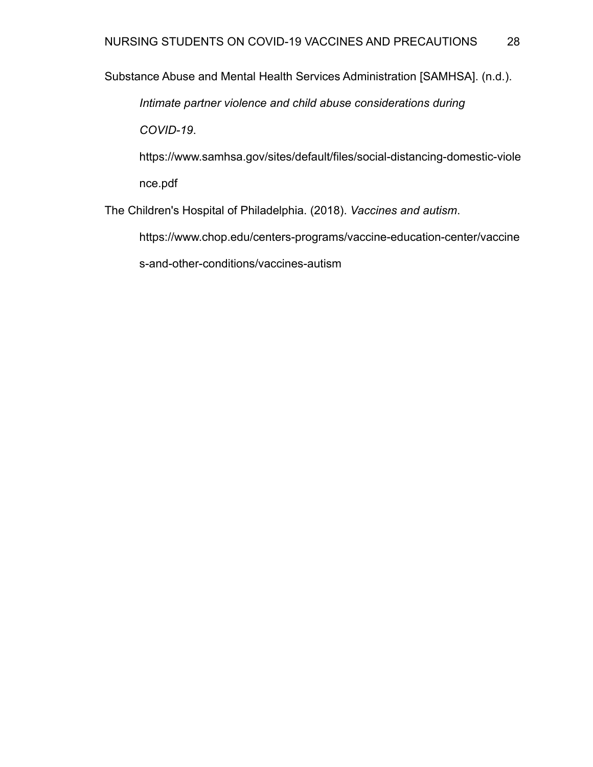Substance Abuse and Mental Health Services Administration [SAMHSA]. (n.d.).

*Intimate partner violence and child abuse considerations during*

*COVID-19*.

https://www.samhsa.gov/sites/default/files/social-distancing-domestic-viole nce.pdf

The Children's Hospital of Philadelphia. (2018). *Vaccines and autism*.

https://www.chop.edu/centers-programs/vaccine-education-center/vaccine

s-and-other-conditions/vaccines-autism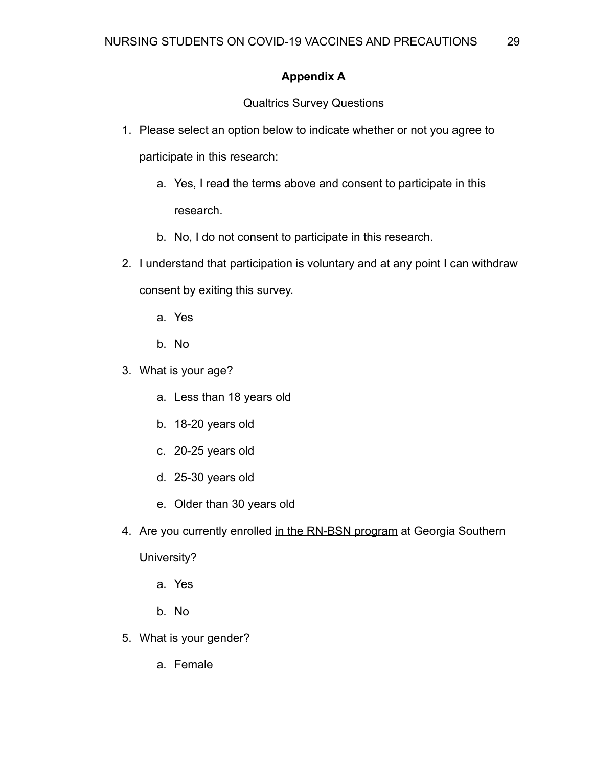## **Appendix A**

Qualtrics Survey Questions

- 1. Please select an option below to indicate whether or not you agree to participate in this research:
	- a. Yes, I read the terms above and consent to participate in this research.
	- b. No, I do not consent to participate in this research.
- 2. I understand that participation is voluntary and at any point I can withdraw consent by exiting this survey.
	- a. Yes
	- b. No
- 3. What is your age?
	- a. Less than 18 years old
	- b. 18-20 years old
	- c. 20-25 years old
	- d. 25-30 years old
	- e. Older than 30 years old
- 4. Are you currently enrolled in the RN-BSN program at Georgia Southern

University?

- a. Yes
- b. No
- 5. What is your gender?
	- a. Female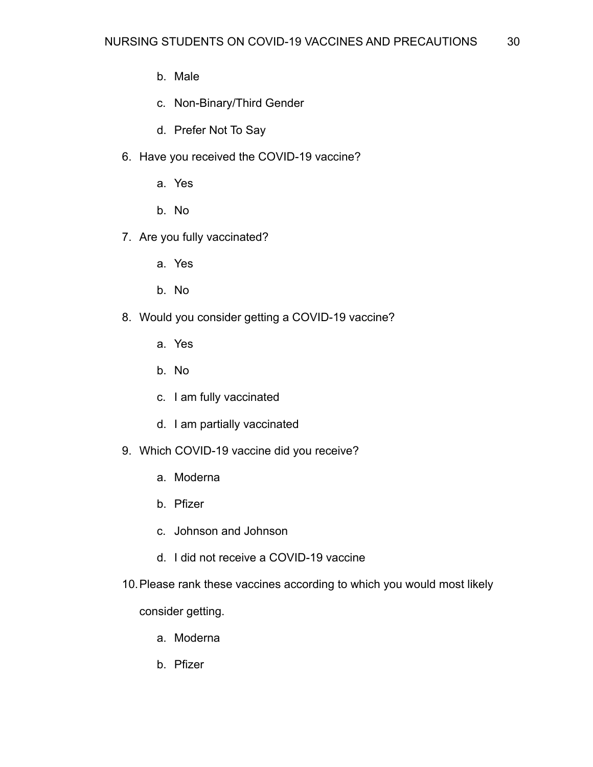- b. Male
- c. Non-Binary/Third Gender
- d. Prefer Not To Say
- 6. Have you received the COVID-19 vaccine?
	- a. Yes
	- b. No
- 7. Are you fully vaccinated?
	- a. Yes
	- b. No
- 8. Would you consider getting a COVID-19 vaccine?
	- a. Yes
	- b. No
	- c. I am fully vaccinated
	- d. I am partially vaccinated
- 9. Which COVID-19 vaccine did you receive?
	- a. Moderna
	- b. Pfizer
	- c. Johnson and Johnson
	- d. I did not receive a COVID-19 vaccine
- 10.Please rank these vaccines according to which you would most likely

consider getting.

- a. Moderna
- b. Pfizer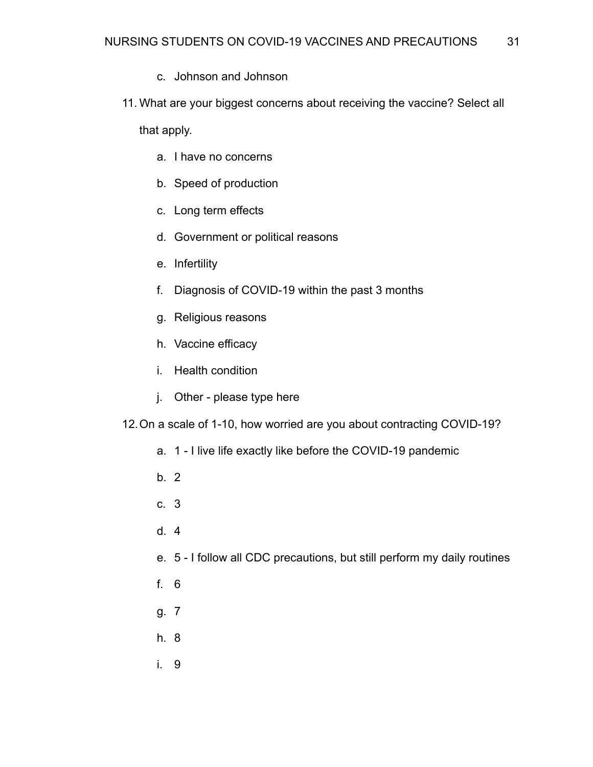- c. Johnson and Johnson
- 11. What are your biggest concerns about receiving the vaccine? Select all

that apply.

- a. I have no concerns
- b. Speed of production
- c. Long term effects
- d. Government or political reasons
- e. Infertility
- f. Diagnosis of COVID-19 within the past 3 months
- g. Religious reasons
- h. Vaccine efficacy
- i. Health condition
- j. Other please type here

12.On a scale of 1-10, how worried are you about contracting COVID-19?

- a. 1 I live life exactly like before the COVID-19 pandemic
- b. 2
- c. 3
- d. 4
- e. 5 I follow all CDC precautions, but still perform my daily routines
- f. 6
- g. 7
- h. 8
- i. 9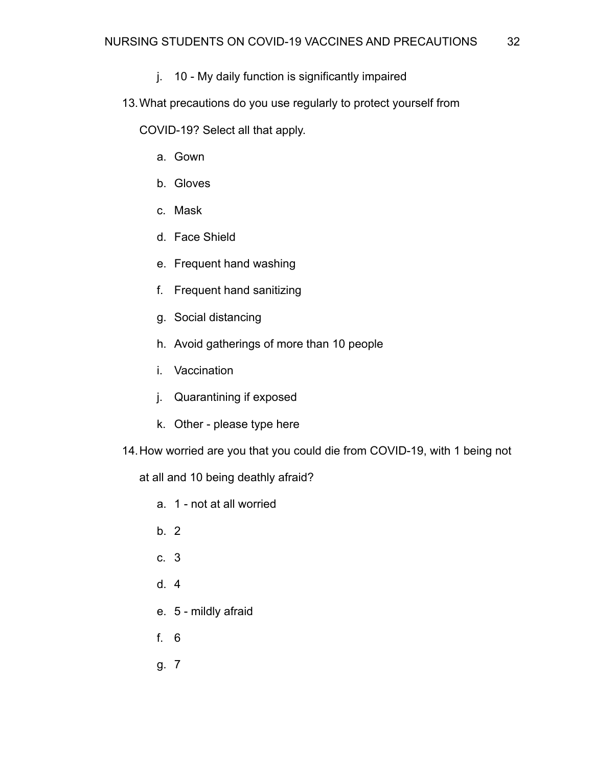- j. 10 My daily function is significantly impaired
- 13.What precautions do you use regularly to protect yourself from

COVID-19? Select all that apply.

- a. Gown
- b. Gloves
- c. Mask
- d. Face Shield
- e. Frequent hand washing
- f. Frequent hand sanitizing
- g. Social distancing
- h. Avoid gatherings of more than 10 people
- i. Vaccination
- j. Quarantining if exposed
- k. Other please type here
- 14.How worried are you that you could die from COVID-19, with 1 being not

at all and 10 being deathly afraid?

- a. 1 not at all worried
- b. 2
- c. 3
- d. 4
- e. 5 mildly afraid
- f. 6
- g. 7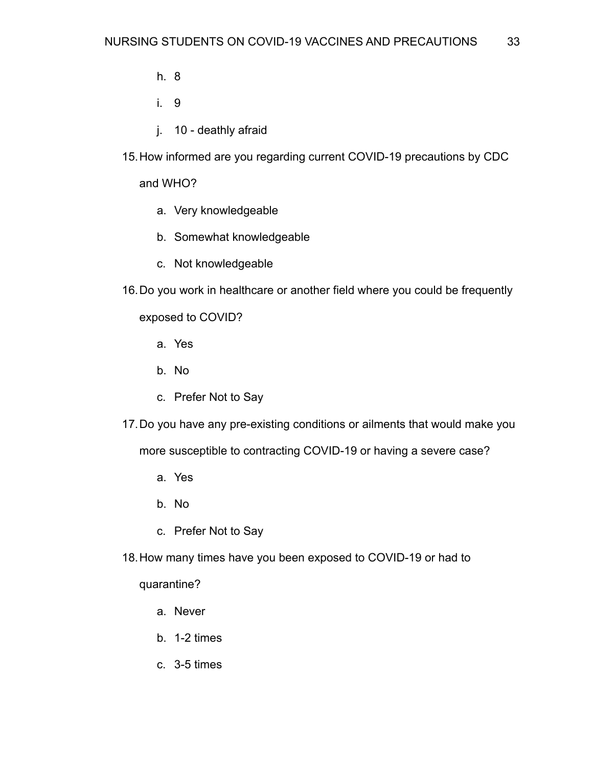- h. 8
- i. 9
- j. 10 deathly afraid
- 15.How informed are you regarding current COVID-19 precautions by CDC

and WHO?

- a. Very knowledgeable
- b. Somewhat knowledgeable
- c. Not knowledgeable
- 16.Do you work in healthcare or another field where you could be frequently

exposed to COVID?

- a. Yes
- b. No
- c. Prefer Not to Say
- 17.Do you have any pre-existing conditions or ailments that would make you

more susceptible to contracting COVID-19 or having a severe case?

- a. Yes
- b. No
- c. Prefer Not to Say
- 18.How many times have you been exposed to COVID-19 or had to

quarantine?

- a. Never
- b. 1-2 times
- c. 3-5 times